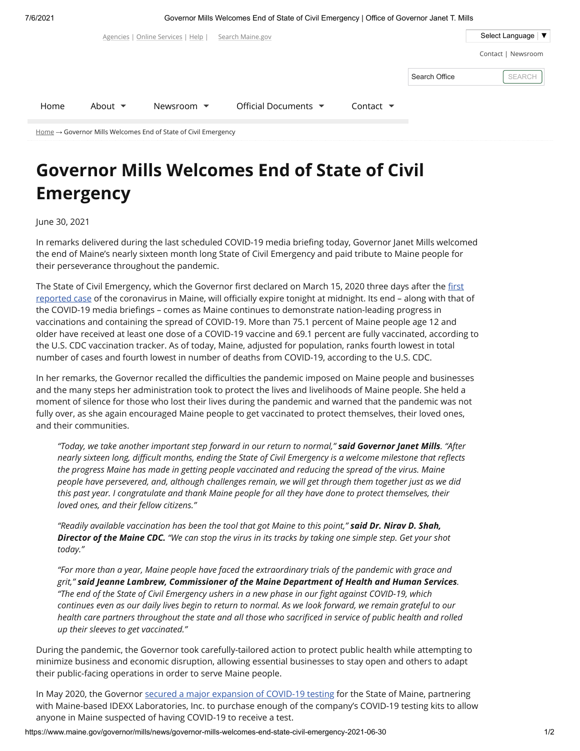7/6/2021 Governor Mills Welcomes End of State of Civil Emergency | Office of Governor Janet T. Mills

|                                                                              |                            | Agencies   Online Services   Help | Search Maine.gov                        |                              |               | Select Language   ▼ |  |  |  |
|------------------------------------------------------------------------------|----------------------------|-----------------------------------|-----------------------------------------|------------------------------|---------------|---------------------|--|--|--|
|                                                                              |                            |                                   |                                         |                              |               | Contact   Newsroom  |  |  |  |
|                                                                              |                            |                                   |                                         |                              | Search Office | <b>SEARCH</b>       |  |  |  |
| Home                                                                         | About $\blacktriangledown$ | Newsroom $\blacktriangledown$     | Official Documents $\blacktriangledown$ | Contact $\blacktriangledown$ |               |                     |  |  |  |
| $Home \rightarrow Government$ Mills Welcomes End of State of Civil Emergency |                            |                                   |                                         |                              |               |                     |  |  |  |

## **Governor Mills Welcomes End of State of Civil Emergency**

June 30, 2021

In remarks delivered during the last scheduled COVID-19 media briefing today, Governor Janet Mills welcomed the end of Maine's nearly sixteen month long State of Civil Emergency and paid tribute to Maine people for their perseverance throughout the pandemic.

The State of Civil Emergency, which the Governor first declared on March 15, 2020 three days after the first [reported case of the coronavirus in Maine, will officially expire tonight at midnight. Its end – along with that](https://www.maine.gov/governor/mills/news/governor-mills-maine-cdc-announce-first-presumptive-positive-case-and-additional-steps-respond) of the COVID-19 media briefings – comes as Maine continues to demonstrate nation-leading progress in vaccinations and containing the spread of COVID-19. More than 75.1 percent of Maine people age 12 and older have received at least one dose of a COVID-19 vaccine and 69.1 percent are fully vaccinated, according to the U.S. CDC vaccination tracker. As of today, Maine, adjusted for population, ranks fourth lowest in total number of cases and fourth lowest in number of deaths from COVID-19, according to the U.S. CDC.

In her remarks, the Governor recalled the difficulties the pandemic imposed on Maine people and businesses and the many steps her administration took to protect the lives and livelihoods of Maine people. She held a moment of silence for those who lost their lives during the pandemic and warned that the pandemic was not fully over, as she again encouraged Maine people to get vaccinated to protect themselves, their loved ones, and their communities.

*"Today, we take another important step forward in our return to normal," said Governor Janet Mills. "After nearly sixteen long, difficult months, ending the State of Civil Emergency is a welcome milestone that reflects the progress Maine has made in getting people vaccinated and reducing the spread of the virus. Maine people have persevered, and, although challenges remain, we will get through them together just as we did this past year. I congratulate and thank Maine people for all they have done to protect themselves, their loved ones, and their fellow citizens."*

*"Readily available vaccination has been the tool that got Maine to this point," said Dr. Nirav D. Shah, Director of the Maine CDC. "We can stop the virus in its tracks by taking one simple step. Get your shot today."*

*"For more than a year, Maine people have faced the extraordinary trials of the pandemic with grace and grit," said Jeanne Lambrew, Commissioner of the Maine Department of Health and Human Services. "The end of the State of Civil Emergency ushers in a new phase in our fight against COVID-19, which continues even as our daily lives begin to return to normal. As we look forward, we remain grateful to our health care partners throughout the state and all those who sacrificed in service of public health and rolled up their sleeves to get vaccinated."*

During the pandemic, the Governor took carefully-tailored action to protect public health while attempting to minimize business and economic disruption, allowing essential businesses to stay open and others to adapt their public-facing operations in order to serve Maine people.

In May 2020, the Governor [secured a major expansion of COVID-19 testing](https://www.maine.gov/governor/mills/news/mills-administration-secures-major-covid-19-testing-expansion-maine-2020-05-07) for the State of Maine, partnering with Maine-based IDEXX Laboratories, Inc. to purchase enough of the company's COVID-19 testing kits to allow anyone in Maine suspected of having COVID-19 to receive a test.

https://www.maine.gov/governor/mills/news/governor-mills-welcomes-end-state-civil-emergency-2021-06-30 1/2